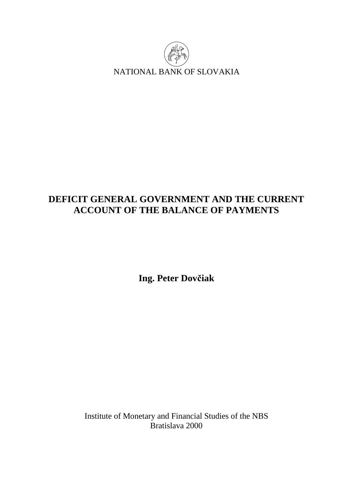

# **DEFICIT GENERAL GOVERNMENT AND THE CURRENT ACCOUNT OF THE BALANCE OF PAYMENTS**

**Ing. Peter Dovčiak** 

Institute of Monetary and Financial Studies of the NBS Bratislava 2000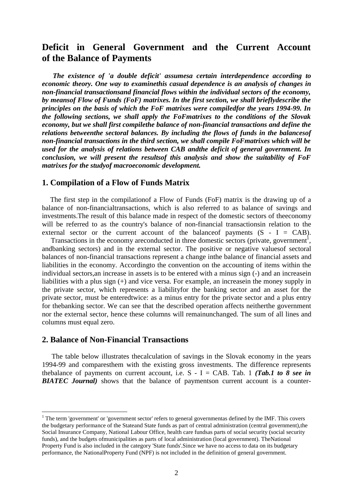## **Deficit in General Government and the Current Account of the Balance of Payments**

 *The existence of 'a double deficit' assumesa certain interdependence according to economic theory. One way to examinethis casual dependence is an analysis of changes in non-financial transactionsand financial flows within the individual sectors of the economy, by meansof Flow of Funds (FoF) matrixes. In the first section, we shall brieflydescribe the principles on the basis of which the FoF matrixes were compiledfor the years 1994-99. In the following sections, we shall apply the FoFmatrixes to the conditions of the Slovak economy, but we shall first compilethe balance of non-financial transactions and define the relations betweenthe sectoral balances. By including the flows of funds in the balancesof non-financial transactions in the third section, we shall compile FoFmatrixes which will be used for the analysis of relations between CAB andthe deficit of general government. In conclusion, we will present the resultsof this analysis and show the suitability of FoF matrixes for the studyof macroeconomic development.* 

## **1. Compilation of a Flow of Funds Matrix**

The first step in the compilation of a Flow of Funds (FoF) matrix is the drawing up of a balance of non-financialtransactions, which is also referred to as balance of savings and investments.The result of this balance made in respect of the domestic sectors of theeconomy will be referred to as the country's balance of non-financial transactionsin relation to the external sector or the current account of the balance of payments  $(S - I = CAB)$ .

Transactions in the economy are conducted in three domestic sectors (private, government<sup>1</sup>, andbanking sectors) and in the external sector. The positive or negative valuesof sectoral balances of non-financial transactions represent a change inthe balance of financial assets and liabilities in the economy. Accordingto the convention on the accounting of items within the individual sectors,an increase in assets is to be entered with a minus sign (-) and an increasein liabilities with a plus sign (+) and vice versa. For example, an increasein the money supply in the private sector, which represents a liabilityfor the banking sector and an asset for the private sector, must be enteredtwice: as a minus entry for the private sector and a plus entry for thebanking sector. We can see that the described operation affects neitherthe government nor the external sector, hence these columns will remainunchanged. The sum of all lines and columns must equal zero.

## **2. Balance of Non-Financial Transactions**

 $\overline{a}$ 

The table below illustrates the calculation of savings in the Slovak economy in the years 1994-99 and comparesthem with the existing gross investments. The difference represents the balance of payments on current account, i.e.  $S - I = CAB$ . Tab. 1 *(Tab.1 to 8 see in*) *BIATEC Journal)* shows that the balance of paymentson current account is a counter-

<sup>&</sup>lt;sup>1</sup> The term 'government' or 'government sector' refers to general governmentas defined by the IMF. This covers the budgetary performance of the Stateand State funds as part of central administration (central government),the Social Insurance Company, National Labour Office, health care fundsas parts of social security (social security funds), and the budgets ofmunicipalities as parts of local administration (local government). TheNational Property Fund is also included in the category 'State funds'.Since we have no access to data on its budgetary performance, the NationalProperty Fund (NPF) is not included in the definition of general government.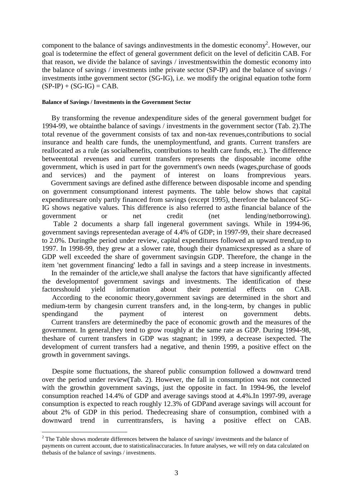component to the balance of savings andinvestments in the domestic economy<sup>2</sup>. However, our goal is todetermine the effect of general government deficit on the level of deficitin CAB. For that reason, we divide the balance of savings / investmentswithin the domestic economy into the balance of savings / investments inthe private sector (SP-IP) and the balance of savings / investments inthe government sector (SG-IG), i.e. we modify the original equation tothe form  $(SP-IP) + (SG-IG) = CAB.$ 

#### **Balance of Savings / Investments in the Government Sector**

By transforming the revenue andexpenditure sides of the general government budget for 1994-99, we obtainthe balance of savings / investments in the government sector (Tab. 2).The total revenue of the government consists of tax and non-tax revenues,contributions to social insurance and health care funds, the unemploymentfund, and grants. Current transfers are reallocated as a rule (as socialbenefits, contributions to health care funds, etc.). The difference betweentotal revenues and current transfers represents the disposable income ofthe government, which is used in part for the government's own needs (wages,purchase of goods and services) and the payment of interest on loans fromprevious years. Government savings are defined asthe difference between disposable income and spending on government consumptionand interest payments. The table below shows that capital expendituresare only partly financed from savings (except 1995), therefore the balanceof SG-IG shows negative values. This difference is also referred to asthe financial balance of the government or net credit (net lending/netborrowing). Table 2 documents a sharp fall ingeneral government savings. While in 1994-96, government savings representedan average of 4.4% of GDP; in 1997-99, their share decreased to 2.0%. Duringthe period under review, capital expenditures followed an upward trend,up to 1997. In 1998-99, they grew at a slower rate, though their dynamicsexpressed as a share of GDP well exceeded the share of government savingsin GDP. Therefore, the change in the item 'net government financing' ledto a fall in savings and a steep increase in investments. In the remainder of the article, we shall analyse the factors that have significantly affected the developmentof government savings and investments. The identification of these factorsshould yield information about their potential effects on CAB.

According to the economic theory,government savings are determined in the short and medium-term by changesin current transfers and, in the long-term, by changes in public spendingand the payment of interest on government debts. Current transfers are determinedby the pace of economic growth and the measures of the government. In general,they tend to grow roughly at the same rate as GDP. During 1994-98, theshare of current transfers in GDP was stagnant; in 1999, a decrease isexpected. The development of current transfers had a negative, and thenin 1999, a positive effect on the growth in government savings.

Despite some fluctuations, the shareof public consumption followed a downward trend over the period under review(Tab. 2). However, the fall in consumption was not connected with the growthin government savings, just the opposite in fact. In 1994-96, the levelof consumption reached 14.4% of GDP and average savings stood at 4.4%.In 1997-99, average consumption is expected to reach roughly 12.3% of GDPand average savings will account for about 2% of GDP in this period. Thedecreasing share of consumption, combined with a downward trend in currenttransfers, is having a positive effect on CAB.

 $\overline{a}$ 

<sup>&</sup>lt;sup>2</sup> The Table shows moderate differences between the balance of savings/ investments and the balance of payments on current account, due to statisticalinaccuracies. In future analyses, we will rely on data calculated on thebasis of the balance of savings / investments.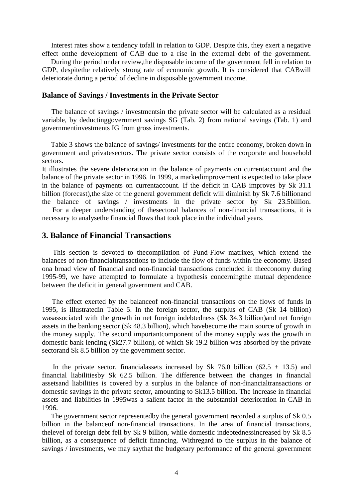Interest rates show a tendency tofall in relation to GDP. Despite this, they exert a negative effect onthe development of CAB due to a rise in the external debt of the government.

During the period under review, the disposable income of the government fell in relation to GDP, despitethe relatively strong rate of economic growth. It is considered that CABwill deteriorate during a period of decline in disposable government income.

#### **Balance of Savings / Investments in the Private Sector**

The balance of savings / investmentsin the private sector will be calculated as a residual variable, by deductinggovernment savings SG (Tab. 2) from national savings (Tab. 1) and governmentinvestments IG from gross investments.

Table 3 shows the balance of savings/ investments for the entire economy, broken down in government and privatesectors. The private sector consists of the corporate and household sectors.

It illustrates the severe deterioration in the balance of payments on currentaccount and the balance of the private sector in 1996. In 1999, a markedimprovement is expected to take place in the balance of payments on currentaccount. If the deficit in CAB improves by Sk 31.1 billion (forecast),the size of the general government deficit will diminish by Sk 7.6 billionand the balance of savings / investments in the private sector by Sk 23.5billion.

For a deeper understanding of thesectoral balances of non-financial transactions, it is necessary to analysethe financial flows that took place in the individual years.

## **3. Balance of Financial Transactions**

This section is devoted to the compilation of Fund-Flow matrixes, which extend the balances of non-financialtransactions to include the flow of funds within the economy. Based ona broad view of financial and non-financial transactions concluded in theeconomy during 1995-99, we have attempted to formulate a hypothesis concerningthe mutual dependence between the deficit in general government and CAB.

The effect exerted by the balance of non-financial transactions on the flows of funds in 1995, is illustratedin Table 5. In the foreign sector, the surplus of CAB (Sk 14 billion) wasassociated with the growth in net foreign indebtedness (Sk 34.3 billion)and net foreign assets in the banking sector (Sk 48.3 billion), which havebecome the main source of growth in the money supply. The second importantcomponent of the money supply was the growth in domestic bank lending (Sk27.7 billion), of which Sk 19.2 billion was absorbed by the private sectorand Sk 8.5 billion by the government sector.

In the private sector, financialassets increased by Sk 76.0 billion  $(62.5 + 13.5)$  and financial liabilitiesby Sk 62.5 billion. The difference between the changes in financial assetsand liabilities is covered by a surplus in the balance of non-financialtransactions or domestic savings in the private sector, amounting to Sk13.5 billion. The increase in financial assets and liabilities in 1995was a salient factor in the substantial deterioration in CAB in 1996.

The government sector representedby the general government recorded a surplus of Sk 0.5 billion in the balanceof non-financial transactions. In the area of financial transactions, thelevel of foreign debt fell by Sk 9 billion, while domestic indebtednessincreased by Sk 8.5 billion, as a consequence of deficit financing. Withregard to the surplus in the balance of savings / investments, we may saythat the budgetary performance of the general government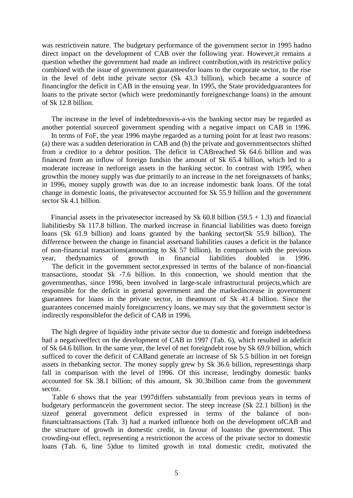was restrictivein nature. The budgetary performance of the government sector in 1995 hadno direct impact on the development of CAB over the following year. However,it remains a question whether the government had made an indirect contribution,with its restrictive policy combined with the issue of government guaranteesfor loans to the corporate sector, to the rise in the level of debt inthe private sector (Sk 43.3 billion), which became a source of financingfor the deficit in CAB in the ensuing year. In 1995, the State providedguarantees for loans to the private sector (which were predominantly foreignexchange loans) in the amount of Sk 12.8 billion.

The increase in the level of indebtedness vis-a-vis the banking sector may be regarded as another potential sourceof government spending with a negative impact on CAB in 1996.

In terms of FoF, the year 1996 maybe regarded as a turning point for at least two reasons: (a) there was a sudden deterioration in CAB and (b) the private and governmentsectors shifted from a creditor to a debtor position. The deficit in CABreached Sk 64.6 billion and was financed from an inflow of foreign fundsin the amount of Sk 65.4 billion, which led to a moderate increase in netforeign assets in the banking sector. In contrast with 1995, when growthin the money supply was due primarily to an increase in the net foreignassets of banks; in 1996, money supply growth was due to an increase indomestic bank loans. Of the total change in domestic loans, the privatesector accounted for Sk 55.9 billion and the government sector Sk 4.1 billion.

Financial assets in the private sector increased by Sk  $60.8$  billion  $(59.5 + 1.3)$  and financial liabilitiesby Sk 117.8 billion. The marked increase in financial liabilities was dueto foreign loans (Sk 61.9 billion) and loans granted by the banking sector(Sk 55.9 billion). The difference between the change in financial assetsand liabilities causes a deficit in the balance of non-financial transactions(amounting to Sk 57 billion). In comparison with the previous year, thedynamics of growth in financial liabilities doubled in 1996. The deficit in the government sector, expressed in terms of the balance of non-financial transactions, stoodat Sk -7.6 billion. In this connection, we should mention that the governmenthas, since 1996, been involved in large-scale infrastructural projects,which are responsible for the deficit in general government and the markedincrease in government guarantees for loans in the private sector, in theamount of Sk 41.4 billion. Since the guarantees concerned mainly foreigncurrency loans, we may say that the government sector is indirectly responsiblefor the deficit of CAB in 1996.

The high degree of liquidity inthe private sector due to domestic and foreign indebtedness had a negativeeffect on the development of CAB in 1997 (Tab. 6), which resulted in adeficit of Sk 64.6 billion. In the same year, the level of net foreigndebt rose by Sk 69.9 billion, which sufficed to cover the deficit of CABand generate an increase of Sk 5.5 billion in net foreign assets in thebanking sector. The money supply grew by Sk 36.6 billion, representinga sharp fall in comparison with the level of 1996. Of this increase, lendingby domestic banks accounted for Sk 38.1 billion; of this amount, Sk 30.3billion came from the government sector.

Table 6 shows that the year 1997 differs substantially from previous years in terms of budgetary performancein the government sector. The steep increase (Sk 22.1 billion) in the sizeof general government deficit expressed in terms of the balance of nonfinancialtransactions (Tab. 3) had a marked influence both on the development ofCAB and the structure of growth in domestic credit, in favour of loansto the government. This crowding-out effect, representing a restrictionon the access of the private sector to domestic loans (Tab. 6, line 5)due to limited growth in total domestic credit, motivated the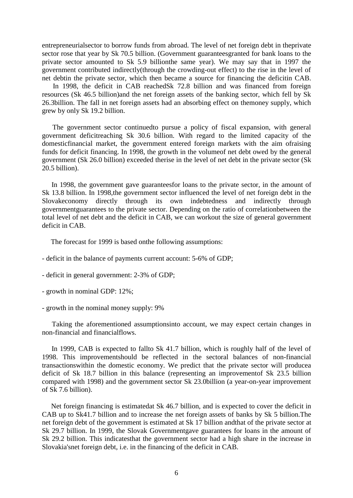entrepreneurialsector to borrow funds from abroad. The level of net foreign debt in theprivate sector rose that year by Sk 70.5 billion. (Government guaranteesgranted for bank loans to the private sector amounted to Sk 5.9 billionthe same year). We may say that in 1997 the government contributed indirectly(through the crowding-out effect) to the rise in the level of net debtin the private sector, which then became a source for financing the deficitin CAB.

In 1998, the deficit in CAB reachedSk 72.8 billion and was financed from foreign resources (Sk 46.5 billion)and the net foreign assets of the banking sector, which fell by Sk 26.3billion. The fall in net foreign assets had an absorbing effect on themoney supply, which grew by only Sk 19.2 billion.

The government sector continuedto pursue a policy of fiscal expansion, with general government deficitreaching Sk 30.6 billion. With regard to the limited capacity of the domesticfinancial market, the government entered foreign markets with the aim ofraising funds for deficit financing. In 1998, the growth in the volumeof net debt owed by the general government (Sk 26.0 billion) exceeded therise in the level of net debt in the private sector (Sk 20.5 billion).

In 1998, the government gave guaranteesfor loans to the private sector, in the amount of Sk 13.8 billion. In 1998,the government sector influenced the level of net foreign debt in the Slovakeconomy directly through its own indebtedness and indirectly through governmentguarantees to the private sector. Depending on the ratio of correlationbetween the total level of net debt and the deficit in CAB, we can workout the size of general government deficit in CAB.

The forecast for 1999 is based onthe following assumptions:

- deficit in the balance of payments current account: 5-6% of GDP;
- deficit in general government: 2-3% of GDP;
- growth in nominal GDP: 12%;
- growth in the nominal money supply: 9%

Taking the aforementioned assumptionsinto account, we may expect certain changes in non-financial and financialflows.

In 1999, CAB is expected to fallto Sk 41.7 billion, which is roughly half of the level of 1998. This improvementshould be reflected in the sectoral balances of non-financial transactionswithin the domestic economy. We predict that the private sector will producea deficit of Sk 18.7 billion in this balance (representing an improvementof Sk 23.5 billion compared with 1998) and the government sector Sk 23.0billion (a year-on-year improvement of Sk 7.6 billion).

Net foreign financing is estimatedat Sk 46.7 billion, and is expected to cover the deficit in CAB up to Sk41.7 billion and to increase the net foreign assets of banks by Sk 5 billion.The net foreign debt of the government is estimated at Sk 17 billion andthat of the private sector at Sk 29.7 billion. In 1999, the Slovak Governmentgave guarantees for loans in the amount of Sk 29.2 billion. This indicatesthat the government sector had a high share in the increase in Slovakia'snet foreign debt, i.e. in the financing of the deficit in CAB.